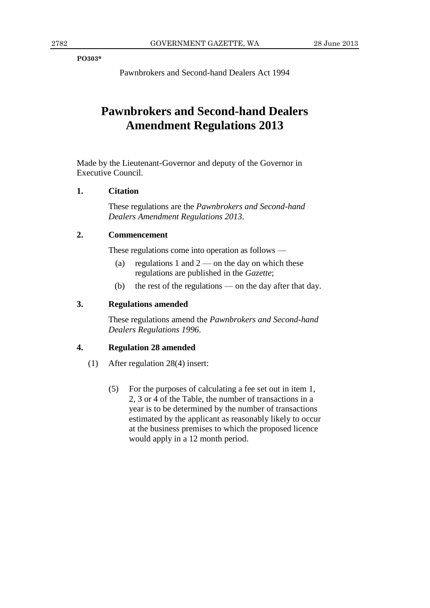**PO303\***

Pawnbrokers and Second-hand Dealers Act 1994

# **Pawnbrokers and Second-hand Dealers Amendment Regulations 2013**

Made by the Lieutenant-Governor and deputy of the Governor in Executive Council.

#### **1. Citation**

These regulations are the *Pawnbrokers and Second-hand Dealers Amendment Regulations 2013*.

#### **2. Commencement**

These regulations come into operation as follows —

- (a) regulations 1 and  $2$  on the day on which these regulations are published in the *Gazette*;
- (b) the rest of the regulations on the day after that day.

#### **3. Regulations amended**

These regulations amend the *Pawnbrokers and Second-hand Dealers Regulations 1996*.

#### **4. Regulation 28 amended**

- (1) After regulation 28(4) insert:
	- (5) For the purposes of calculating a fee set out in item 1, 2, 3 or 4 of the Table, the number of transactions in a year is to be determined by the number of transactions estimated by the applicant as reasonably likely to occur at the business premises to which the proposed licence would apply in a 12 month period.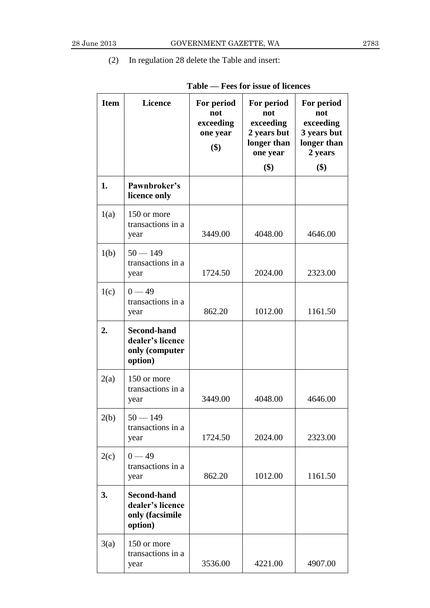### (2) In regulation 28 delete the Table and insert:

| <b>Item</b> | <b>Licence</b>                                                       | For period<br>not<br>exceeding<br>one year<br>\$) | For period<br>not<br>exceeding<br>2 years but<br>longer than<br>one year<br>\$) | For period<br>not<br>exceeding<br>3 years but<br>longer than<br>2 years<br>\$) |
|-------------|----------------------------------------------------------------------|---------------------------------------------------|---------------------------------------------------------------------------------|--------------------------------------------------------------------------------|
| 1.          | Pawnbroker's<br>licence only                                         |                                                   |                                                                                 |                                                                                |
| 1(a)        | 150 or more<br>transactions in a<br>year                             | 3449.00                                           | 4048.00                                                                         | 4646.00                                                                        |
| 1(b)        | $50 - 149$<br>transactions in a<br>year                              | 1724.50                                           | 2024.00                                                                         | 2323.00                                                                        |
| 1(c)        | $0 - 49$<br>transactions in a<br>year                                | 862.20                                            | 1012.00                                                                         | 1161.50                                                                        |
| 2.          | <b>Second-hand</b><br>dealer's licence<br>only (computer<br>option)  |                                                   |                                                                                 |                                                                                |
| 2(a)        | 150 or more<br>transactions in a<br>year                             | 3449.00                                           | 4048.00                                                                         | 4646.00                                                                        |
| 2(b)        | $50 - 149$<br>transactions in a<br>year                              | 1724.50                                           | 2024.00                                                                         | 2323.00                                                                        |
| 2(c)        | $0 - 49$<br>transactions in a<br>year                                | 862.20                                            | 1012.00                                                                         | 1161.50                                                                        |
| 3.          | <b>Second-hand</b><br>dealer's licence<br>only (facsimile<br>option) |                                                   |                                                                                 |                                                                                |
| 3(a)        | 150 or more<br>transactions in a<br>year                             | 3536.00                                           | 4221.00                                                                         | 4907.00                                                                        |

## **Table — Fees for issue of licences**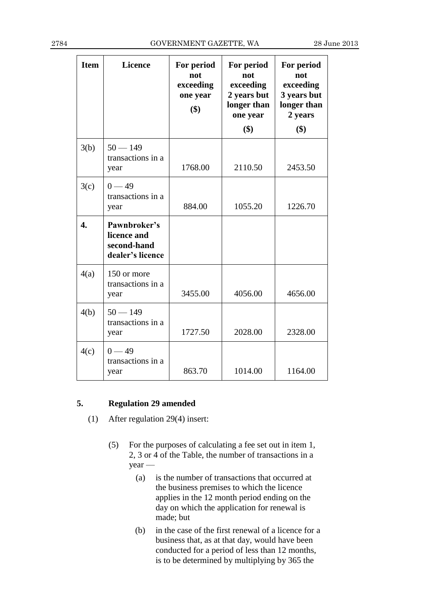| <b>Item</b>      | <b>Licence</b>                                                 | For period<br>not<br>exceeding<br>one year<br>\$) | For period<br>not<br>exceeding<br>2 years but<br>longer than<br>one year<br>\$) | For period<br>not<br>exceeding<br>3 years but<br>longer than<br>2 years<br>\$) |
|------------------|----------------------------------------------------------------|---------------------------------------------------|---------------------------------------------------------------------------------|--------------------------------------------------------------------------------|
| 3(b)             | $50 - 149$<br>transactions in a<br>year                        | 1768.00                                           | 2110.50                                                                         | 2453.50                                                                        |
| 3(c)             | $0 - 49$<br>transactions in a<br>year                          | 884.00                                            | 1055.20                                                                         | 1226.70                                                                        |
| $\overline{4}$ . | Pawnbroker's<br>licence and<br>second-hand<br>dealer's licence |                                                   |                                                                                 |                                                                                |
| 4(a)             | 150 or more<br>transactions in a<br>year                       | 3455.00                                           | 4056.00                                                                         | 4656.00                                                                        |
| 4(b)             | $50 - 149$<br>transactions in a<br>year                        | 1727.50                                           | 2028.00                                                                         | 2328.00                                                                        |
| 4(c)             | $0 - 49$<br>transactions in a<br>year                          | 863.70                                            | 1014.00                                                                         | 1164.00                                                                        |

#### **5. Regulation 29 amended**

- (1) After regulation 29(4) insert:
	- (5) For the purposes of calculating a fee set out in item 1, 2, 3 or 4 of the Table, the number of transactions in a year —
		- (a) is the number of transactions that occurred at the business premises to which the licence applies in the 12 month period ending on the day on which the application for renewal is made; but
		- (b) in the case of the first renewal of a licence for a business that, as at that day, would have been conducted for a period of less than 12 months, is to be determined by multiplying by 365 the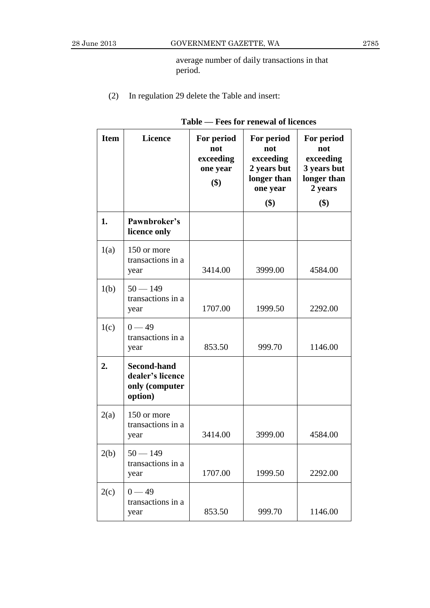average number of daily transactions in that period.

(2) In regulation 29 delete the Table and insert:

| <b>Item</b> | <b>Licence</b>                                                      | For period<br>not<br>exceeding<br>one year<br>\$) | For period<br>not<br>exceeding<br>2 years but<br>longer than<br>one year<br>\$) | For period<br>not<br>exceeding<br>3 years but<br>longer than<br>2 years<br>\$) |
|-------------|---------------------------------------------------------------------|---------------------------------------------------|---------------------------------------------------------------------------------|--------------------------------------------------------------------------------|
| 1.          | Pawnbroker's<br>licence only                                        |                                                   |                                                                                 |                                                                                |
| 1(a)        | 150 or more<br>transactions in a<br>year                            | 3414.00                                           | 3999.00                                                                         | 4584.00                                                                        |
| 1(b)        | $50 - 149$<br>transactions in a<br>year                             | 1707.00                                           | 1999.50                                                                         | 2292.00                                                                        |
| 1(c)        | $0 - 49$<br>transactions in a<br>year                               | 853.50                                            | 999.70                                                                          | 1146.00                                                                        |
| 2.          | <b>Second-hand</b><br>dealer's licence<br>only (computer<br>option) |                                                   |                                                                                 |                                                                                |
| 2(a)        | 150 or more<br>transactions in a<br>year                            | 3414.00                                           | 3999.00                                                                         | 4584.00                                                                        |
| 2(b)        | $50 - 149$<br>transactions in a<br>year                             | 1707.00                                           | 1999.50                                                                         | 2292.00                                                                        |
| 2(c)        | $0 - 49$<br>transactions in a<br>year                               | 853.50                                            | 999.70                                                                          | 1146.00                                                                        |

### **Table — Fees for renewal of licences**